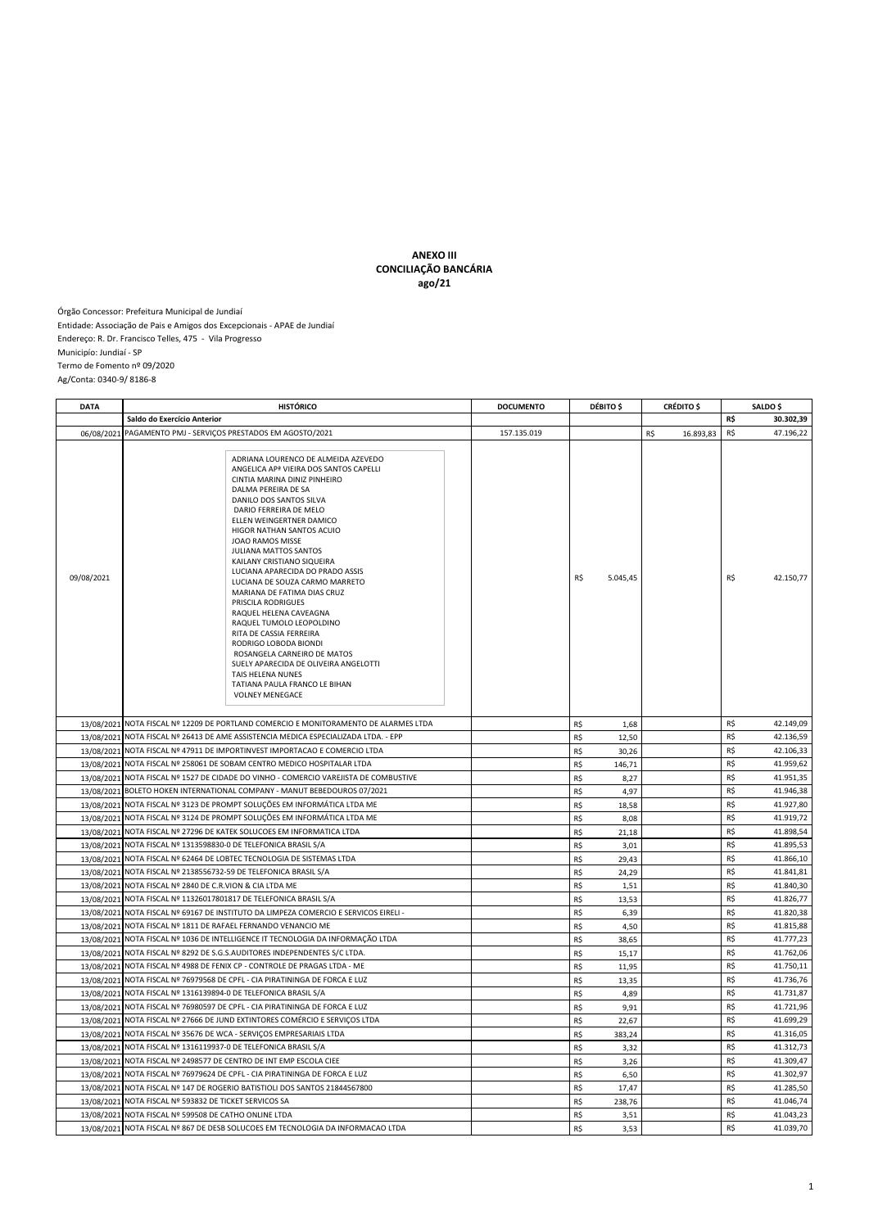## **ANEXO III CONCILIAÇÃO BANCÁRIA ago/21**

Órgão Concessor: Prefeitura Municipal de Jundiaí Entidade: Associação de Pais e Amigos dos Excepcionais - APAE de Jundiaí Endereço: R. Dr. Francisco Telles, 475 - Vila Progresso Municipío: Jundiaí - SP Termo de Fomento nº 09/2020 Ag/Conta: 0340-9/ 8186-8

| <b>DATA</b> | <b>HISTÓRICO</b>                                                                                                                                                                                                                                                                                                                                                                                                                                                                                                                                                                                                                                                                                                                              | <b>DOCUMENTO</b> | DÉBITO \$       | <b>CRÉDITO</b> \$ | <b>SALDO</b> \$  |  |
|-------------|-----------------------------------------------------------------------------------------------------------------------------------------------------------------------------------------------------------------------------------------------------------------------------------------------------------------------------------------------------------------------------------------------------------------------------------------------------------------------------------------------------------------------------------------------------------------------------------------------------------------------------------------------------------------------------------------------------------------------------------------------|------------------|-----------------|-------------------|------------------|--|
|             | Saldo do Exercício Anterior                                                                                                                                                                                                                                                                                                                                                                                                                                                                                                                                                                                                                                                                                                                   |                  |                 |                   | R\$<br>30.302,39 |  |
| 06/08/2021  | PAGAMENTO PMJ - SERVIÇOS PRESTADOS EM AGOSTO/2021                                                                                                                                                                                                                                                                                                                                                                                                                                                                                                                                                                                                                                                                                             | 157.135.019      |                 | R\$<br>16.893,83  | R\$<br>47.196,22 |  |
| 09/08/2021  | ADRIANA LOURENCO DE ALMEIDA AZEVEDO<br>ANGELICA AP <sup>ª</sup> VIEIRA DOS SANTOS CAPELLI<br>CINTIA MARINA DINIZ PINHEIRO<br>DALMA PEREIRA DE SA<br>DANILO DOS SANTOS SILVA<br>DARIO FERREIRA DE MELO<br>ELLEN WEINGERTNER DAMICO<br>HIGOR NATHAN SANTOS ACUIO<br>JOAO RAMOS MISSE<br><b>JULIANA MATTOS SANTOS</b><br>KAILANY CRISTIANO SIQUEIRA<br>LUCIANA APARECIDA DO PRADO ASSIS<br>LUCIANA DE SOUZA CARMO MARRETO<br>MARIANA DE FATIMA DIAS CRUZ<br>PRISCILA RODRIGUES<br>RAQUEL HELENA CAVEAGNA<br>RAQUEL TUMOLO LEOPOLDINO<br>RITA DE CASSIA FERREIRA<br>RODRIGO LOBODA BIONDI<br>ROSANGELA CARNEIRO DE MATOS<br>SUELY APARECIDA DE OLIVEIRA ANGELOTTI<br>TAIS HELENA NUNES<br>TATIANA PAULA FRANCO LE BIHAN<br><b>VOLNEY MENEGACE</b> |                  | R\$<br>5.045,45 |                   | R\$<br>42.150,77 |  |
|             | 13/08/2021   NOTA FISCAL Nº 12209 DE PORTLAND COMERCIO E MONITORAMENTO DE ALARMES LTDA                                                                                                                                                                                                                                                                                                                                                                                                                                                                                                                                                                                                                                                        |                  | R\$<br>1,68     |                   | R\$<br>42.149,09 |  |
| 13/08/2021  | NOTA FISCAL Nº 26413 DE AME ASSISTENCIA MEDICA ESPECIALIZADA LTDA. - EPP                                                                                                                                                                                                                                                                                                                                                                                                                                                                                                                                                                                                                                                                      |                  | R\$<br>12,50    |                   | R\$<br>42.136,59 |  |
|             | 13/08/2021 NOTA FISCAL Nº 47911 DE IMPORTINVEST IMPORTACAO E COMERCIO LTDA                                                                                                                                                                                                                                                                                                                                                                                                                                                                                                                                                                                                                                                                    |                  | R\$<br>30,26    |                   | R\$<br>42.106,33 |  |
| 13/08/2021  | NOTA FISCAL Nº 258061 DE SOBAM CENTRO MEDICO HOSPITALAR LTDA                                                                                                                                                                                                                                                                                                                                                                                                                                                                                                                                                                                                                                                                                  |                  | R\$<br>146,71   |                   | R\$<br>41.959,62 |  |
|             | 13/08/2021 NOTA FISCAL Nº 1527 DE CIDADE DO VINHO - COMERCIO VAREJISTA DE COMBUSTIVE                                                                                                                                                                                                                                                                                                                                                                                                                                                                                                                                                                                                                                                          |                  | R\$<br>8,27     |                   | R\$<br>41.951,35 |  |
| 13/08/2021  | BOLETO HOKEN INTERNATIONAL COMPANY - MANUT BEBEDOUROS 07/2021                                                                                                                                                                                                                                                                                                                                                                                                                                                                                                                                                                                                                                                                                 |                  | R\$<br>4,97     |                   | R\$<br>41.946,38 |  |
| 13/08/2021  | NOTA FISCAL Nº 3123 DE PROMPT SOLUÇÕES EM INFORMÁTICA LTDA ME                                                                                                                                                                                                                                                                                                                                                                                                                                                                                                                                                                                                                                                                                 |                  | R\$<br>18,58    |                   | R\$<br>41.927,80 |  |
| 13/08/2021  | NOTA FISCAL Nº 3124 DE PROMPT SOLUÇÕES EM INFORMÁTICA LTDA ME                                                                                                                                                                                                                                                                                                                                                                                                                                                                                                                                                                                                                                                                                 |                  | R\$<br>8,08     |                   | R\$<br>41.919,72 |  |
|             | 13/08/2021 NOTA FISCAL Nº 27296 DE KATEK SOLUCOES EM INFORMATICA LTDA                                                                                                                                                                                                                                                                                                                                                                                                                                                                                                                                                                                                                                                                         |                  | R\$<br>21,18    |                   | R\$<br>41.898,54 |  |
| 13/08/2021  | NOTA FISCAL Nº 1313598830-0 DE TELEFONICA BRASIL S/A                                                                                                                                                                                                                                                                                                                                                                                                                                                                                                                                                                                                                                                                                          |                  | R\$<br>3,01     |                   | R\$<br>41.895,53 |  |
|             | 13/08/2021 NOTA FISCAL Nº 62464 DE LOBTEC TECNOLOGIA DE SISTEMAS LTDA                                                                                                                                                                                                                                                                                                                                                                                                                                                                                                                                                                                                                                                                         |                  | R\$<br>29,43    |                   | R\$<br>41.866,10 |  |
| 13/08/2021  | NOTA FISCAL Nº 2138556732-59 DE TELEFONICA BRASIL S/A                                                                                                                                                                                                                                                                                                                                                                                                                                                                                                                                                                                                                                                                                         |                  | R\$<br>24,29    |                   | R\$<br>41.841,81 |  |
|             | 13/08/2021 NOTA FISCAL Nº 2840 DE C.R.VION & CIA LTDA ME                                                                                                                                                                                                                                                                                                                                                                                                                                                                                                                                                                                                                                                                                      |                  | R\$<br>1,51     |                   | R\$<br>41.840,30 |  |
| 13/08/2021  | NOTA FISCAL Nº 11326017801817 DE TELEFONICA BRASIL S/A                                                                                                                                                                                                                                                                                                                                                                                                                                                                                                                                                                                                                                                                                        |                  | R\$<br>13,53    |                   | R\$<br>41.826,77 |  |
| 13/08/2021  | NOTA FISCAL Nº 69167 DE INSTITUTO DA LIMPEZA COMERCIO E SERVICOS EIRELI -                                                                                                                                                                                                                                                                                                                                                                                                                                                                                                                                                                                                                                                                     |                  | R\$<br>6,39     |                   | R\$<br>41.820,38 |  |
|             | 13/08/2021 NOTA FISCAL Nº 1811 DE RAFAEL FERNANDO VENANCIO ME                                                                                                                                                                                                                                                                                                                                                                                                                                                                                                                                                                                                                                                                                 |                  | R\$<br>4,50     |                   | R\$<br>41.815,88 |  |
|             | 13/08/2021 NOTA FISCAL Nº 1036 DE INTELLIGENCE IT TECNOLOGIA DA INFORMAÇÃO LTDA                                                                                                                                                                                                                                                                                                                                                                                                                                                                                                                                                                                                                                                               |                  | R\$<br>38,65    |                   | 41.777,23<br>R\$ |  |
| 13/08/2021  | NOTA FISCAL Nº 8292 DE S.G.S.AUDITORES INDEPENDENTES S/C LTDA                                                                                                                                                                                                                                                                                                                                                                                                                                                                                                                                                                                                                                                                                 |                  | R\$<br>15,17    |                   | R\$<br>41.762,06 |  |
| 13/08/2021  | NOTA FISCAL Nº 4988 DE FENIX CP - CONTROLE DE PRAGAS LTDA - ME                                                                                                                                                                                                                                                                                                                                                                                                                                                                                                                                                                                                                                                                                |                  | R\$<br>11,95    |                   | R\$<br>41.750,11 |  |
| 13/08/2021  | NOTA FISCAL Nº 76979568 DE CPFL - CIA PIRATININGA DE FORCA E LUZ                                                                                                                                                                                                                                                                                                                                                                                                                                                                                                                                                                                                                                                                              |                  | R\$<br>13,35    |                   | R\$<br>41.736,76 |  |
|             | 13/08/2021 NOTA FISCAL Nº 1316139894-0 DE TELEFONICA BRASIL S/A                                                                                                                                                                                                                                                                                                                                                                                                                                                                                                                                                                                                                                                                               |                  | R\$<br>4,89     |                   | R\$<br>41.731,87 |  |
| 13/08/2021  | NOTA FISCAL Nº 76980597 DE CPFL - CIA PIRATININGA DE FORCA E LUZ                                                                                                                                                                                                                                                                                                                                                                                                                                                                                                                                                                                                                                                                              |                  | R\$<br>9,91     |                   | R\$<br>41.721,96 |  |
| 13/08/2021  | NOTA FISCAL Nº 27666 DE JUND EXTINTORES COMÉRCIO E SERVIÇOS LTDA                                                                                                                                                                                                                                                                                                                                                                                                                                                                                                                                                                                                                                                                              |                  | R\$<br>22,67    |                   | R\$<br>41.699,29 |  |
|             | 13/08/2021 NOTA FISCAL Nº 35676 DE WCA - SERVIÇOS EMPRESARIAIS LTDA                                                                                                                                                                                                                                                                                                                                                                                                                                                                                                                                                                                                                                                                           |                  | R\$<br>383,24   |                   | R\$<br>41.316,05 |  |
| 13/08/2021  | NOTA FISCAL Nº 1316119937-0 DE TELEFONICA BRASIL S/A                                                                                                                                                                                                                                                                                                                                                                                                                                                                                                                                                                                                                                                                                          |                  | R\$<br>3,32     |                   | R\$<br>41.312,73 |  |
|             | 13/08/2021 NOTA FISCAL Nº 2498577 DE CENTRO DE INT EMP ESCOLA CIEE                                                                                                                                                                                                                                                                                                                                                                                                                                                                                                                                                                                                                                                                            |                  | R\$<br>3,26     |                   | R\$<br>41.309,47 |  |
| 13/08/2021  | NOTA FISCAL Nº 76979624 DE CPFL - CIA PIRATININGA DE FORCA E LUZ                                                                                                                                                                                                                                                                                                                                                                                                                                                                                                                                                                                                                                                                              |                  | R\$<br>6,50     |                   | R\$<br>41.302,97 |  |
| 13/08/2021  | NOTA FISCAL Nº 147 DE ROGERIO BATISTIOLI DOS SANTOS 21844567800                                                                                                                                                                                                                                                                                                                                                                                                                                                                                                                                                                                                                                                                               |                  | R\$<br>17,47    |                   | R\$<br>41.285,50 |  |
|             | 13/08/2021 NOTA FISCAL Nº 593832 DE TICKET SERVICOS SA                                                                                                                                                                                                                                                                                                                                                                                                                                                                                                                                                                                                                                                                                        |                  | R\$<br>238,76   |                   | R\$<br>41.046,74 |  |
|             | 13/08/2021 NOTA FISCAL Nº 599508 DE CATHO ONLINE LTDA                                                                                                                                                                                                                                                                                                                                                                                                                                                                                                                                                                                                                                                                                         |                  | R\$<br>3,51     |                   | R\$<br>41.043,23 |  |
|             | 13/08/2021 NOTA FISCAL Nº 867 DE DESB SOLUCOES EM TECNOLOGIA DA INFORMACAO LTDA                                                                                                                                                                                                                                                                                                                                                                                                                                                                                                                                                                                                                                                               |                  | R\$<br>3,53     |                   | R\$<br>41.039,70 |  |